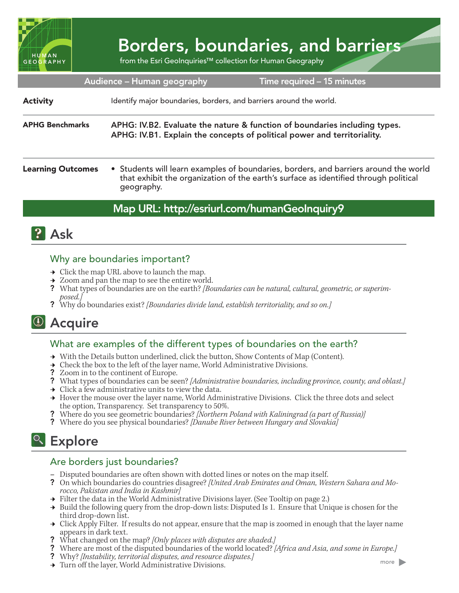

# Borders, boundaries, and barriers

from the Esri GeoInquiries™ collection for Human Geography

| Audience - Human geography<br>Time required - 15 minutes |                                                                                                                                                                                         |
|----------------------------------------------------------|-----------------------------------------------------------------------------------------------------------------------------------------------------------------------------------------|
| <b>Activity</b>                                          | Identify major boundaries, borders, and barriers around the world.                                                                                                                      |
| <b>APHG Benchmarks</b>                                   | APHG: IV.B2. Evaluate the nature & function of boundaries including types.<br>APHG: IV.B1. Explain the concepts of political power and territoriality.                                  |
| <b>Learning Outcomes</b>                                 | • Students will learn examples of boundaries, borders, and barriers around the world that exhibit the organization of the earth's surface as identified through political<br>geography. |

## Map URL: http://esriurl.com/humanGeoInquiry9



## Why are boundaries important?

- $\rightarrow$  Click the map URL above to launch the map.
- ʅ Zoom and pan the map to see the entire world.
- ? What types of boundaries are on the earth? *[Boundaries can be natural, cultural, geometric, or superimposed.]*
- ? Why do boundaries exist? *[Boundaries divide land, establish territoriality, and so on.]*

## <sup>4</sup> Acquire

## What are examples of the different types of boundaries on the earth?

- → With the Details button underlined, click the button, Show Contents of Map (Content).
- $\rightarrow$  Check the box to the left of the layer name, World Administrative Divisions.
- ? Zoom in to the continent of Europe.
- ? What types of boundaries can be seen? *[Administrative boundaries, including province, county, and oblast.]*
- $\rightarrow$  Click a few administrative units to view the data.
- → Hover the mouse over the layer name, World Administrative Divisions. Click the three dots and select the option, Transparency. Set transparency to 50%.
- ? Where do you see geometric boundaries? *[Northern Poland with Kaliningrad (a part of Russia)]*
- ? Where do you see physical boundaries? *[Danube River between Hungary and Slovakia]*

## <sup>Q</sup> Explore

## Are borders just boundaries?

- **–** Disputed boundaries are often shown with dotted lines or notes on the map itself.
- ? On which boundaries do countries disagree? *[United Arab Emirates and Oman, Western Sahara and Mo- rocco, Pakistan and India in Kashmir]*
- $\rightarrow$  Filter the data in the World Administrative Divisions layer. (See Tooltip on page 2.)
- $\rightarrow$  Build the following query from the drop-down lists: Disputed Is 1. Ensure that Unique is chosen for the third drop-down list.
- Click Apply Filter. If results do not appear, ensure that the map is zoomed in enough that the layer name appears in dark text.
- ? What changed on the map? *[Only places with disputes are shaded.]*
- ? Where are most of the disputed boundaries of the world located? *[Africa and Asia, and some in Europe.]*
- ? Why? *[Instability, territorial disputes, and resource disputes.]*
- → Turn off the layer, World Administrative Divisions.